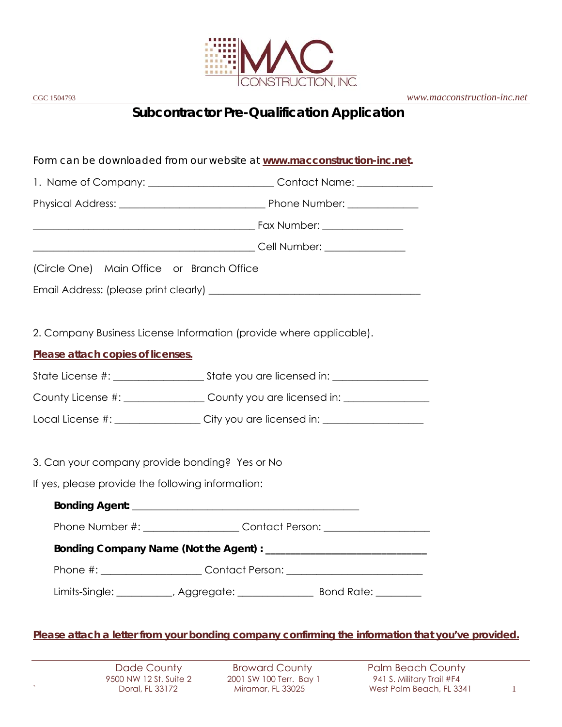

# **Subcontractor Pre-Qualification Application**

*Form can be downloaded from our website at www.macconstruction-inc.net.* 1. Name of Company: \_\_\_\_\_\_\_\_\_\_\_\_\_\_\_\_\_\_\_\_\_\_\_\_\_\_\_Contact Name: \_\_\_\_\_\_\_\_\_\_\_\_\_\_\_\_\_\_\_ Physical Address: \_\_\_\_\_\_\_\_\_\_\_\_\_\_\_\_\_\_\_\_\_\_\_\_\_\_\_\_\_ Phone Number: \_\_\_\_\_\_\_\_\_\_\_\_\_\_ \_\_\_\_\_\_\_\_\_\_\_\_\_\_\_\_\_\_\_\_\_\_\_\_\_\_\_\_\_\_\_\_\_\_\_\_\_\_\_\_\_\_\_\_ Fax Number: \_\_\_\_\_\_\_\_\_\_\_\_\_\_\_\_ \_\_\_\_\_\_\_\_\_\_\_\_\_\_\_\_\_\_\_\_\_\_\_\_\_\_\_\_\_\_\_\_\_\_\_\_\_\_\_\_\_\_\_\_ Cell Number: \_\_\_\_\_\_\_\_\_\_\_\_\_\_\_\_ (Circle One) Main Office or Branch Office Email Address: (please print clearly) **Email Address:** 2. Company Business License Information (provide where applicable). *Please attach copies of licenses.*  State License #: \_\_\_\_\_\_\_\_\_\_\_\_\_\_\_\_\_\_ State you are licensed in: \_\_\_\_\_\_\_\_\_\_\_\_\_\_\_\_\_\_\_ County License #: \_\_\_\_\_\_\_\_\_\_\_\_\_\_\_\_\_ County you are licensed in: \_\_\_\_\_\_\_\_\_\_\_\_\_\_\_\_ Local License #: \_\_\_\_\_\_\_\_\_\_\_\_\_\_\_\_\_\_\_City you are licensed in: \_\_\_\_\_\_\_\_\_\_\_\_\_\_\_\_\_\_ 3. Can your company provide bonding? Yes or No If yes, please provide the following information: **Bonding Agent:**  $\blacksquare$ Phone Number #: \_\_\_\_\_\_\_\_\_\_\_\_\_\_\_\_\_\_\_\_\_Contact Person: \_\_\_\_\_\_\_\_\_\_\_\_\_\_\_\_\_\_\_\_\_\_\_\_\_\_\_  **Bonding Company Name (Not the Agent) : \_\_\_\_\_\_\_\_\_\_\_\_\_\_\_\_\_\_\_\_\_\_\_\_\_\_\_\_\_\_\_\_**  Phone #: \_\_\_\_\_\_\_\_\_\_\_\_\_\_\_\_\_\_\_\_\_\_\_\_\_Contact Person: \_\_\_\_\_\_\_\_\_\_\_\_\_\_\_\_\_\_\_\_\_\_\_\_\_\_\_\_\_\_ Limits-Single: \_\_\_\_\_\_\_\_\_\_\_, Aggregate: \_\_\_\_\_\_\_\_\_\_\_\_\_\_\_ Bond Rate: \_\_\_\_\_\_\_\_\_

*Please attach a letter from your bonding company confirming the information that you've provided.*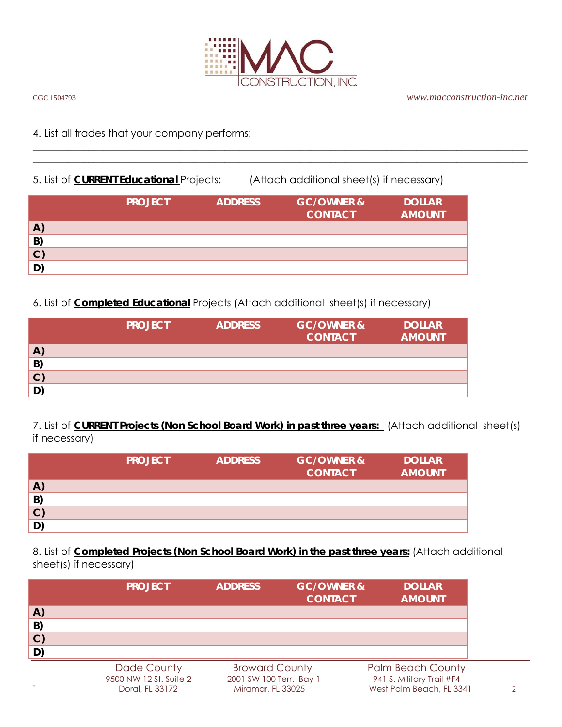

 $\_$  , and the set of the set of the set of the set of the set of the set of the set of the set of the set of the set of the set of the set of the set of the set of the set of the set of the set of the set of the set of th  $\_$  , and the set of the set of the set of the set of the set of the set of the set of the set of the set of the set of the set of the set of the set of the set of the set of the set of the set of the set of the set of th

#### 4. List all trades that your company performs:

5. List of **CURRENT Educational** Projects: (Attach additional sheet(s) if necessary)

|              | <b>PROJECT</b> | <b>ADDRESS</b> | <b>GC/OWNER &amp;</b><br><b>CONTACT</b> | <b>DOLLAR</b><br><b>AMOUNT</b> |
|--------------|----------------|----------------|-----------------------------------------|--------------------------------|
| $\mathbf{A}$ |                |                |                                         |                                |
| B)           |                |                |                                         |                                |
| $\mathbf{C}$ |                |                |                                         |                                |
| D)           |                |                |                                         |                                |

6. List of **Completed Educational** Projects (Attach additional sheet(s) if necessary)

|              | <b>PROJECT</b> | <b>ADDRESS</b> | <b>GC/OWNER &amp;</b><br><b>CONTACT</b> | <b>DOLLAR</b><br><b>AMOUNT</b> |
|--------------|----------------|----------------|-----------------------------------------|--------------------------------|
| $\mathbf{A}$ |                |                |                                         |                                |
| B)           |                |                |                                         |                                |
| $\mathbf{C}$ |                |                |                                         |                                |
| D)           |                |                |                                         |                                |
|              |                |                |                                         |                                |

7. List of **CURRENT Projects (Non School Board Work) in past three years:** (Attach additional sheet(s) if necessary)

|              | <b>PROJECT</b> | <b>ADDRESS</b> | <b>GC/OWNER &amp;</b><br><b>CONTACT</b> | <b>DOLLAR</b><br><b>AMOUNT</b> |
|--------------|----------------|----------------|-----------------------------------------|--------------------------------|
| $\mathbf{A}$ |                |                |                                         |                                |
| B            |                |                |                                         |                                |
| $\mathbf{C}$ |                |                |                                         |                                |
| D            |                |                |                                         |                                |

8. List of **Completed Projects (Non School Board Work) in the past three years:** (Attach additional sheet(s) if necessary)

|              | <b>PROJECT</b> | <b>ADDRESS</b>        | <b>GC/OWNER &amp;</b><br><b>CONTACT</b> | <b>DOLLAR</b><br><b>AMOUNT</b> |
|--------------|----------------|-----------------------|-----------------------------------------|--------------------------------|
| A)           |                |                       |                                         |                                |
| B)           |                |                       |                                         |                                |
| $\mathbf{C}$ |                |                       |                                         |                                |
| D)           |                |                       |                                         |                                |
|              | Dade County    | <b>Broward County</b> |                                         | <b>Palm Beach County</b>       |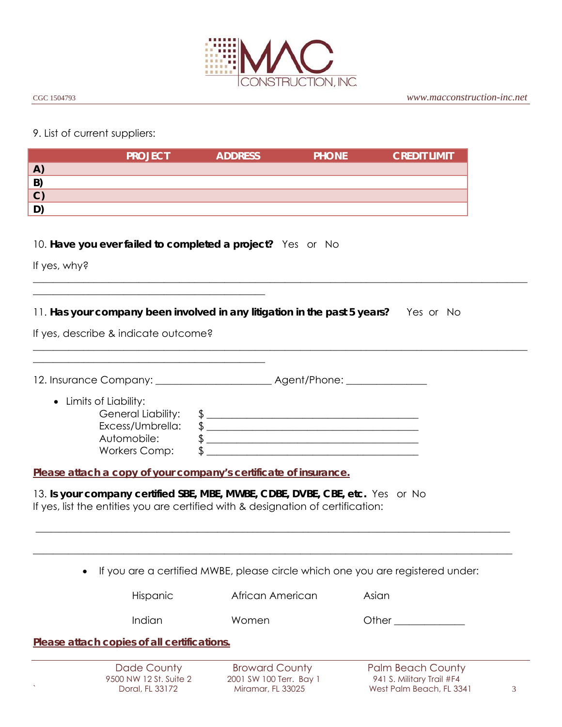

#### 9. List of current suppliers:

|              | <b>PROJECT</b> | <b>ADDRESS</b> | <b>PHONE</b> | <b>CREDIT LIMIT</b> |
|--------------|----------------|----------------|--------------|---------------------|
| $\mathbf{A}$ |                |                |              |                     |
| B            |                |                |              |                     |
| $\mathbf{C}$ |                |                |              |                     |
| D            |                |                |              |                     |

#### 10. **Have you ever failed to completed a project?** Yes or No

If yes, why?

#### 11. **Has your company been involved in any litigation in the past 5 years?** Yes or No

 $\_$  , and the set of the set of the set of the set of the set of the set of the set of the set of the set of the set of the set of the set of the set of the set of the set of the set of the set of the set of the set of th

 $\_$  , and the set of the set of the set of the set of the set of the set of the set of the set of the set of the set of the set of the set of the set of the set of the set of the set of the set of the set of the set of th

If yes, describe & indicate outcome?

\_\_\_\_\_\_\_\_\_\_\_\_\_\_\_\_\_\_\_\_\_\_\_\_\_\_\_\_\_\_\_\_\_\_\_\_\_\_\_\_\_\_\_\_\_\_

\_\_\_\_\_\_\_\_\_\_\_\_\_\_\_\_\_\_\_\_\_\_\_\_\_\_\_\_\_\_\_\_\_\_\_\_\_\_\_\_\_\_\_\_\_\_

| 12. Insurance Company: 12. Insurance Company:                                                                  | Agent/Phone: 2004 |
|----------------------------------------------------------------------------------------------------------------|-------------------|
| • Limits of Liability:<br><b>General Liability:</b><br>Excess/Umbrella:<br>Automobile:<br><b>Workers Comp:</b> |                   |

*Please attach a copy of your company's certificate of insurance.* 

13. **Is your company certified SBE, MBE, MWBE, CDBE, DVBE, CBE, etc.** Yes or No If yes, list the entities you are certified with & designation of certification:

If you are a certified MWBE, please circle which one you are registered under:

\_\_\_\_\_\_\_\_\_\_\_\_\_\_\_\_\_\_\_\_\_\_\_\_\_\_\_\_\_\_\_\_\_\_\_\_\_\_\_\_\_\_\_\_\_\_\_\_\_\_\_\_\_\_\_\_\_\_\_\_\_\_\_\_\_\_\_\_\_\_\_\_\_\_\_\_\_\_\_\_\_\_\_\_\_\_\_\_\_\_\_\_\_\_

\_\_\_\_\_\_\_\_\_\_\_\_\_\_\_\_\_\_\_\_\_\_\_\_\_\_\_\_\_\_\_\_\_\_\_\_\_\_\_\_\_\_\_\_\_\_\_\_\_\_\_\_\_\_\_\_\_\_\_\_\_\_\_\_\_\_\_\_\_\_\_\_\_\_\_\_\_\_\_\_\_\_\_\_\_\_\_\_\_\_\_\_\_\_\_

Hispanic **African American** Asian

Indian Momen Other Cheren Cheren Communication

*Please attach copies of all certifications.* 

Dade CountyBroward CountyPalm Beach County 9500 NW 12 St. Suite 2 2001 SW 100 Terr. Bay 1 941 S. Military Trail #F4 ` Doral, FL 33172 Miramar, FL 33025 West Palm Beach, FL 3341 3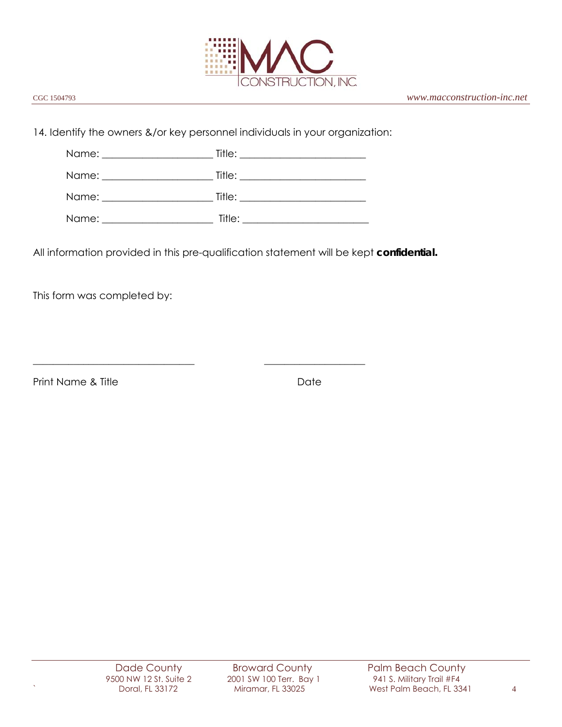

14. Identify the owners &/or key personnel individuals in your organization:

\_\_\_\_\_\_\_\_\_\_\_\_\_\_\_\_\_\_\_\_\_\_\_\_\_\_\_\_\_\_\_\_ \_\_\_\_\_\_\_\_\_\_\_\_\_\_\_\_\_\_\_\_

| Name: ________________________ |        |  |
|--------------------------------|--------|--|
|                                |        |  |
| Name:                          | Title: |  |

All information provided in this pre-qualification statement will be kept **confidential.**

This form was completed by:

Print Name & Title Date Date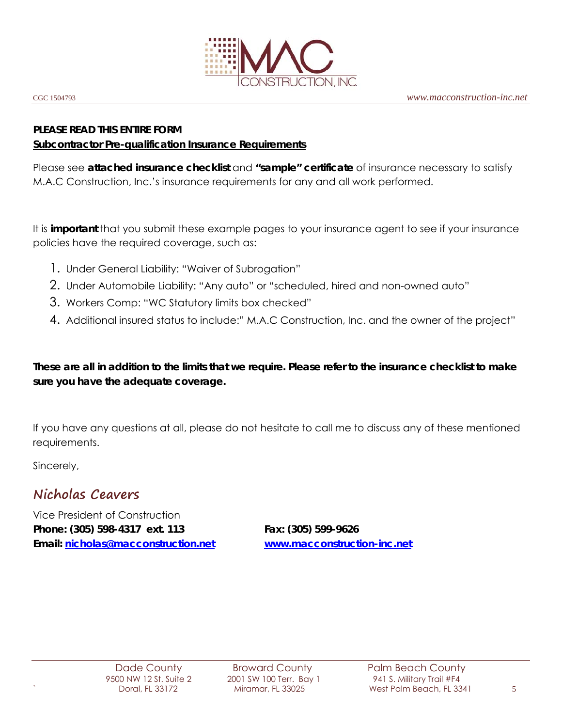

# **PLEASE READ THIS ENTIRE FORM**

#### **Subcontractor Pre-qualification Insurance Requirements**

Please see **attached insurance checklist** and **"sample" certificate** of insurance necessary to satisfy M.A.C Construction, Inc.'s insurance requirements for any and all work performed.

It is **important** that you submit these example pages to your insurance agent to see if your insurance policies have the required coverage, such as:

- 1. Under General Liability: "Waiver of Subrogation"
- 2. Under Automobile Liability: "Any auto" or "scheduled, hired and non-owned auto"
- 3. Workers Comp: "WC Statutory limits box checked"
- 4. Additional insured status to include:" M.A.C Construction, Inc. and the owner of the project"

**These are all in addition to the limits that we require. Please refer to the insurance checklist to make sure you have the adequate coverage.** 

If you have any questions at all, please do not hesitate to call me to discuss any of these mentioned requirements.

Sincerely,

# **Nicholas Ceavers**

Vice President of Construction **Phone: (305) 598-4317 ext. 113 Fax: (305) 599-9626 Email: nicholas@macconstruction.net www.macconstruction-inc.net**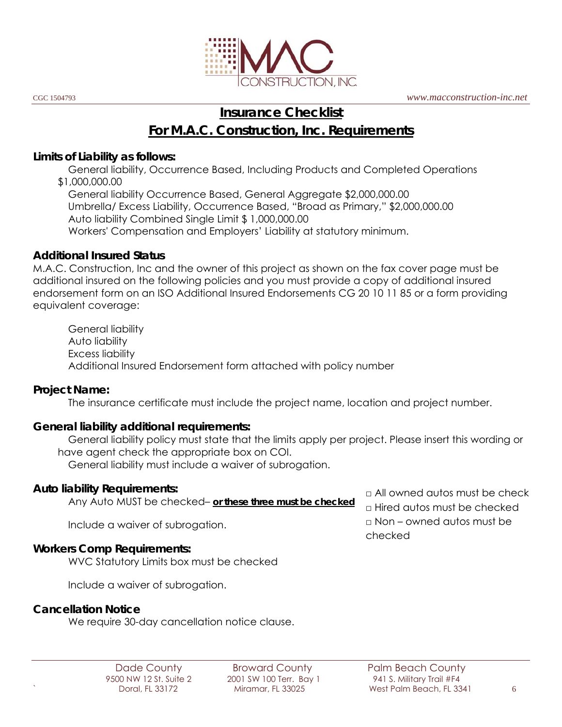

CGC 1504793 *www.macconstruction-inc.net*

# **Insurance Checklist**

**For M.A.C. Construction, Inc. Requirements**

#### **Limits of Liability as follows:**

 General liability, Occurrence Based, Including Products and Completed Operations \$1,000,000.00

 General liability Occurrence Based, General Aggregate \$2,000,000.00 Umbrella/ Excess Liability, Occurrence Based, "Broad as Primary," \$2,000,000.00 Auto liability Combined Single Limit \$ 1,000,000.00 Workers' Compensation and Employers' Liability at statutory minimum.

#### **Additional Insured Status**

M.A.C. Construction, Inc and the owner of this project as shown on the fax cover page must be additional insured on the following policies and you must provide a copy of additional insured endorsement form on an ISO Additional Insured Endorsements CG 20 10 11 85 or a form providing equivalent coverage:

 General liability Auto liability Excess liability Additional Insured Endorsement form attached with policy number

## **Project Name:**

The insurance certificate must include the project name, location and project number.

## **General liability additional requirements:**

 General liability policy must state that the limits apply per project. Please insert this wording or have agent check the appropriate box on COI.

General liability must include a waiver of subrogation.

## **Auto liability Requirements:**

Any Auto MUST be checked– *or these three must be checked*

 $\n <sup>□</sup>$  All owned autos must be check □ Hired autos must be checked  $\Box$  Non – owned autos must be checked

Include a waiver of subrogation.

## **Workers Comp Requirements:**

WVC Statutory Limits box must be checked

Include a waiver of subrogation.

## **Cancellation Notice**

We require 30-day cancellation notice clause.